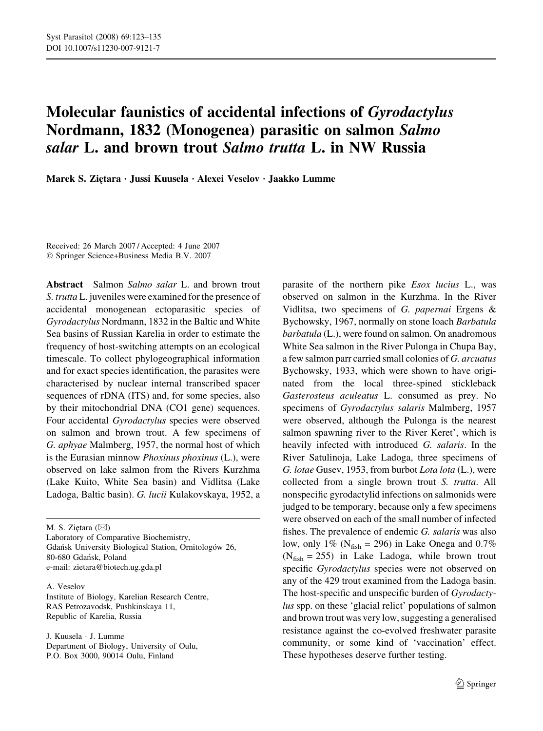# Molecular faunistics of accidental infections of Gyrodactylus Nordmann, 1832 (Monogenea) parasitic on salmon Salmo salar L. and brown trout Salmo trutta L. in NW Russia

Marek S. Ziętara · Jussi Kuusela · Alexei Veselov · Jaakko Lumme

Received: 26 March 2007 / Accepted: 4 June 2007 Springer Science+Business Media B.V. 2007

Abstract Salmon Salmo salar L. and brown trout S. trutta L. juveniles were examined for the presence of accidental monogenean ectoparasitic species of Gyrodactylus Nordmann, 1832 in the Baltic and White Sea basins of Russian Karelia in order to estimate the frequency of host-switching attempts on an ecological timescale. To collect phylogeographical information and for exact species identification, the parasites were characterised by nuclear internal transcribed spacer sequences of rDNA (ITS) and, for some species, also by their mitochondrial DNA (CO1 gene) sequences. Four accidental Gyrodactylus species were observed on salmon and brown trout. A few specimens of G. aphyae Malmberg, 1957, the normal host of which is the Eurasian minnow *Phoxinus phoxinus* (L.), were observed on lake salmon from the Rivers Kurzhma (Lake Kuito, White Sea basin) and Vidlitsa (Lake Ladoga, Baltic basin). G. lucii Kulakovskaya, 1952, a

M. S. Ziętara  $(\boxtimes)$ Laboratory of Comparative Biochemistry, Gdańsk University Biological Station, Ornitologów 26, 80-680 Gdan´sk, Poland e-mail: zietara@biotech.ug.gda.pl

A. Veselov Institute of Biology, Karelian Research Centre, RAS Petrozavodsk, Pushkinskaya 11, Republic of Karelia, Russia

J. Kuusela · J. Lumme Department of Biology, University of Oulu, P.O. Box 3000, 90014 Oulu, Finland

parasite of the northern pike Esox lucius L., was observed on salmon in the Kurzhma. In the River Vidlitsa, two specimens of G. papernai Ergens & Bychowsky, 1967, normally on stone loach Barbatula barbatula (L.), were found on salmon. On anadromous White Sea salmon in the River Pulonga in Chupa Bay, a few salmon parr carried small colonies of G. arcuatus Bychowsky, 1933, which were shown to have originated from the local three-spined stickleback Gasterosteus aculeatus L. consumed as prey. No specimens of Gyrodactylus salaris Malmberg, 1957 were observed, although the Pulonga is the nearest salmon spawning river to the River Keret', which is heavily infected with introduced G. salaris. In the River Satulinoja, Lake Ladoga, three specimens of G. lotae Gusev, 1953, from burbot Lota lota (L.), were collected from a single brown trout S. trutta. All nonspecific gyrodactylid infections on salmonids were judged to be temporary, because only a few specimens were observed on each of the small number of infected fishes. The prevalence of endemic G. salaris was also low, only 1% ( $N_{fish} = 296$ ) in Lake Onega and 0.7%  $(N<sub>fish</sub> = 255)$  in Lake Ladoga, while brown trout specific Gyrodactylus species were not observed on any of the 429 trout examined from the Ladoga basin. The host-specific and unspecific burden of Gyrodactylus spp. on these 'glacial relict' populations of salmon and brown trout was very low, suggesting a generalised resistance against the co-evolved freshwater parasite community, or some kind of 'vaccination' effect. These hypotheses deserve further testing.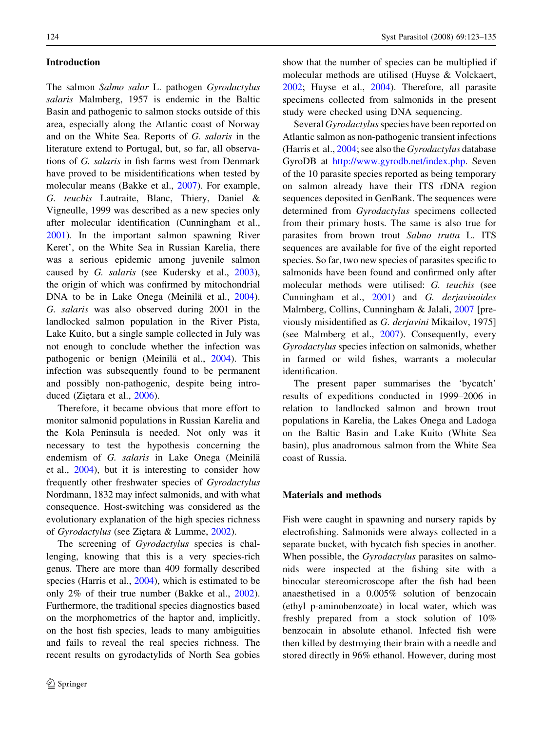## Introduction

The salmon Salmo salar L. pathogen Gyrodactylus salaris Malmberg, 1957 is endemic in the Baltic Basin and pathogenic to salmon stocks outside of this area, especially along the Atlantic coast of Norway and on the White Sea. Reports of G. salaris in the literature extend to Portugal, but, so far, all observations of G. salaris in fish farms west from Denmark have proved to be misidentifications when tested by molecular means (Bakke et al., [2007\)](#page-11-0). For example, G. teuchis Lautraite, Blanc, Thiery, Daniel & Vigneulle, 1999 was described as a new species only after molecular identification (Cunningham et al., [2001\)](#page-11-0). In the important salmon spawning River Keret', on the White Sea in Russian Karelia, there was a serious epidemic among juvenile salmon caused by G. salaris (see Kudersky et al., [2003](#page-11-0)), the origin of which was confirmed by mitochondrial DNA to be in Lake Onega (Meinilä et al., [2004](#page-11-0)). G. salaris was also observed during 2001 in the landlocked salmon population in the River Pista, Lake Kuito, but a single sample collected in July was not enough to conclude whether the infection was pathogenic or benign (Meinilä et al., [2004\)](#page-11-0). This infection was subsequently found to be permanent and possibly non-pathogenic, despite being intro-duced (Ziętara et al., [2006](#page-12-0)).

Therefore, it became obvious that more effort to monitor salmonid populations in Russian Karelia and the Kola Peninsula is needed. Not only was it necessary to test the hypothesis concerning the endemism of G. salaris in Lake Onega (Meinilä et al., [2004\)](#page-11-0), but it is interesting to consider how frequently other freshwater species of Gyrodactylus Nordmann, 1832 may infect salmonids, and with what consequence. Host-switching was considered as the evolutionary explanation of the high species richness of Gyrodactylus (see Zietara & Lumme, [2002\)](#page-11-0).

The screening of *Gyrodactylus* species is challenging, knowing that this is a very species-rich genus. There are more than 409 formally described species (Harris et al., [2004](#page-11-0)), which is estimated to be only 2% of their true number (Bakke et al., [2002](#page-11-0)). Furthermore, the traditional species diagnostics based on the morphometrics of the haptor and, implicitly, on the host fish species, leads to many ambiguities and fails to reveal the real species richness. The recent results on gyrodactylids of North Sea gobies show that the number of species can be multiplied if molecular methods are utilised (Huyse & Volckaert, [2002;](#page-11-0) Huyse et al., [2004\)](#page-11-0). Therefore, all parasite specimens collected from salmonids in the present study were checked using DNA sequencing.

Several Gyrodactylus species have been reported on Atlantic salmon as non-pathogenic transient infections (Harris et al., [2004](#page-11-0); see also the Gyrodactylus database GyroDB at [http://www.gyrodb.net/index.php.](http://www.gyrodb.net/index.php) Seven of the 10 parasite species reported as being temporary on salmon already have their ITS rDNA region sequences deposited in GenBank. The sequences were determined from Gyrodactylus specimens collected from their primary hosts. The same is also true for parasites from brown trout Salmo trutta L. ITS sequences are available for five of the eight reported species. So far, two new species of parasites specific to salmonids have been found and confirmed only after molecular methods were utilised: G. teuchis (see Cunningham et al., [2001\)](#page-11-0) and G. derjavinoides Malmberg, Collins, Cunningham & Jalali, [2007](#page-11-0) [previously misidentified as G. derjavini Mikailov, 1975] (see Malmberg et al., [2007](#page-11-0)). Consequently, every Gyrodactylus species infection on salmonids, whether in farmed or wild fishes, warrants a molecular identification.

The present paper summarises the 'bycatch' results of expeditions conducted in 1999–2006 in relation to landlocked salmon and brown trout populations in Karelia, the Lakes Onega and Ladoga on the Baltic Basin and Lake Kuito (White Sea basin), plus anadromous salmon from the White Sea coast of Russia.

#### Materials and methods

Fish were caught in spawning and nursery rapids by electrofishing. Salmonids were always collected in a separate bucket, with bycatch fish species in another. When possible, the *Gyrodactylus* parasites on salmonids were inspected at the fishing site with a binocular stereomicroscope after the fish had been anaesthetised in a 0.005% solution of benzocain (ethyl p-aminobenzoate) in local water, which was freshly prepared from a stock solution of 10% benzocain in absolute ethanol. Infected fish were then killed by destroying their brain with a needle and stored directly in 96% ethanol. However, during most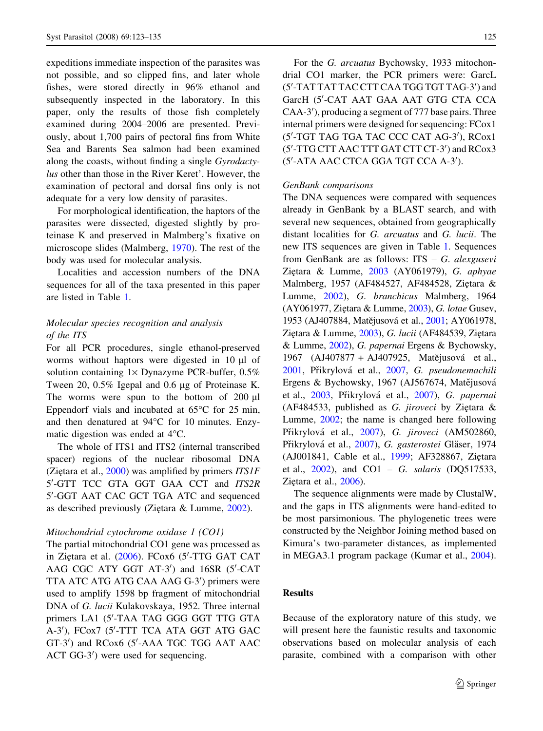expeditions immediate inspection of the parasites was not possible, and so clipped fins, and later whole fishes, were stored directly in 96% ethanol and subsequently inspected in the laboratory. In this paper, only the results of those fish completely examined during 2004–2006 are presented. Previously, about 1,700 pairs of pectoral fins from White Sea and Barents Sea salmon had been examined along the coasts, without finding a single Gyrodactylus other than those in the River Keret'. However, the examination of pectoral and dorsal fins only is not adequate for a very low density of parasites.

For morphological identification, the haptors of the parasites were dissected, digested slightly by proteinase K and preserved in Malmberg's fixative on microscope slides (Malmberg, [1970\)](#page-11-0). The rest of the body was used for molecular analysis.

Localities and accession numbers of the DNA sequences for all of the taxa presented in this paper are listed in Table [1.](#page-3-0)

# Molecular species recognition and analysis of the ITS

For all PCR procedures, single ethanol-preserved worms without haptors were digested in 10 µl of solution containing  $1 \times$  Dynazyme PCR-buffer, 0.5% Tween 20, 0.5% Igepal and 0.6 µg of Proteinase K. The worms were spun to the bottom of  $200 \mu l$ Eppendorf vials and incubated at  $65^{\circ}$ C for 25 min, and then denatured at  $94^{\circ}$ C for 10 minutes. Enzymatic digestion was ended at  $4^{\circ}$ C.

The whole of ITS1 and ITS2 (internal transcribed spacer) regions of the nuclear ribosomal DNA (Ziętara et al., [2000\)](#page-12-0) was amplified by primers  $ITSIF$ 5'-GTT TCC GTA GGT GAA CCT and ITS2R 5'-GGT AAT CAC GCT TGA ATC and sequenced as described previously (Zietara  $&$  Lumme, [2002\)](#page-11-0).

#### Mitochondrial cytochrome oxidase 1 (CO1)

The partial mitochondrial CO1 gene was processed as in Ziętara et al. [\(2006\)](#page-12-0). FCox6 (5'-TTG GAT CAT AAG CGC ATY GGT AT-3') and 16SR (5'-CAT TTA ATC ATG ATG CAA AAG G-3') primers were used to amplify 1598 bp fragment of mitochondrial DNA of G. lucii Kulakovskaya, 1952. Three internal primers LA1 (5'-TAA TAG GGG GGT TTG GTA A-3'), FCox7 (5'-TTT TCA ATA GGT ATG GAC GT-3') and RCox6 (5'-AAA TGC TGG AAT AAC ACT GG-3') were used for sequencing.

For the G. arcuatus Bychowsky, 1933 mitochondrial CO1 marker, the PCR primers were: GarcL (5'-TAT TAT TAC CTT CAA TGG TGT TAG-3') and GarcH (5'-CAT AAT GAA AAT GTG CTA CCA CAA-3'), producing a segment of 777 base pairs. Three internal primers were designed for sequencing: FCox1 (5'-TGT TAG TGA TAC CCC CAT AG-3'), RCox1 (5'-TTG CTT AAC TTT GAT CTT CT-3') and RCox3 (5'-ATA AAC CTCA GGA TGT CCA A-3').

#### GenBank comparisons

The DNA sequences were compared with sequences already in GenBank by a BLAST search, and with several new sequences, obtained from geographically distant localities for G. arcuatus and G. lucii. The new ITS sequences are given in Table [1](#page-3-0). Sequences from GenBank are as follows: ITS – G. alexgusevi Ziętara & Lumme, [2003](#page-12-0) (AY061979), G. aphyae Malmberg, 1957 (AF484527, AF484528, Ziętara & Lumme, [2002](#page-11-0)), G. branchicus Malmberg, 1964  $(AY061977, Zi$ ętara & Lumme,  $2003$ ), G. lotae Gusev, 1953 (AJ407884, Matějusová et al., [2001;](#page-11-0) AY061978, Ziętara & Lumme, [2003](#page-12-0)), G. lucii (AF484539, Ziętara & Lumme, [2002](#page-11-0)), G. papernai Ergens & Bychowsky, 1967 (AJ407877 + AJ407925, Matějusová et al., [2001,](#page-11-0) Přikrylová et al., [2007](#page-11-0), G. pseudonemachili Ergens & Bychowsky, 1967 (AJ567674, Mate $\ddot{\text{u}}$ usová et al., [2003](#page-11-0), Přikrylová et al., [2007\)](#page-11-0), G. papernai (AF484533, published as G. jiroveci by Ziętara  $\&$ Lumme, [2002;](#page-11-0) the name is changed here following Přikrylová et al., [2007\)](#page-11-0), G. jiroveci (AM502860, Přikrylová et al., [2007](#page-11-0)), G. gasterostei Gläser, 1974 (AJ001841, Cable et al., [1999;](#page-11-0) AF328867, Ziętara et al., [2002\)](#page-11-0), and CO1 – G. salaris (DQ517533, Ziętara et al., [2006\)](#page-12-0).

The sequence alignments were made by ClustalW, and the gaps in ITS alignments were hand-edited to be most parsimonious. The phylogenetic trees were constructed by the Neighbor Joining method based on Kimura's two-parameter distances, as implemented in MEGA3.1 program package (Kumar et al., [2004](#page-11-0)).

## Results

Because of the exploratory nature of this study, we will present here the faunistic results and taxonomic observations based on molecular analysis of each parasite, combined with a comparison with other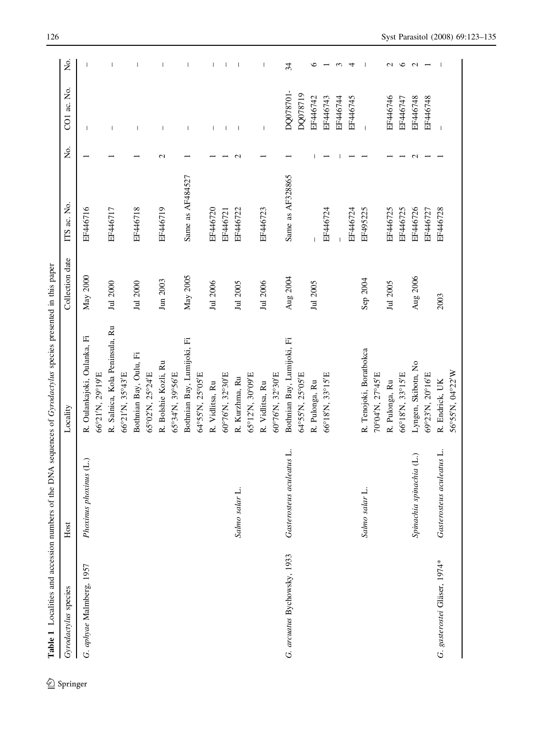<span id="page-3-0"></span>

| Gyrodactylus species         | Host                         | Table 1 Localities and accession numbers of the DNA sequences of Gyrodactylus species presented in this paper<br>Locality | Collection date | ITS ac. No.      | Σó.              | CO1 ac. No.              | Σó           |
|------------------------------|------------------------------|---------------------------------------------------------------------------------------------------------------------------|-----------------|------------------|------------------|--------------------------|--------------|
|                              |                              |                                                                                                                           |                 |                  |                  |                          |              |
| G. aphyae Malmberg, 1957     | Phoxinus phoxinus (L.)       | R. Oulankajoki, Oulanka, Fi<br>66°21'N, 29°19'E                                                                           | May 2000        | EF446716         |                  | $\overline{1}$           |              |
|                              |                              |                                                                                                                           |                 |                  |                  |                          |              |
|                              |                              | R. Salnica, Kola Peninsula, Ru                                                                                            | Jul 2000        | EF446717         |                  |                          |              |
|                              |                              | 66°21'N, 35°43'E                                                                                                          |                 |                  |                  |                          |              |
|                              |                              | Bothnian Bay, Oulu, Fi                                                                                                    | Jul 2000        | EF446718         |                  | $\overline{1}$           | $\mathbf{I}$ |
|                              |                              | 65°02'N, 25°24'E                                                                                                          |                 |                  |                  |                          |              |
|                              |                              | R. Bolshie Kozli, Ru                                                                                                      | Jun 2003        | EF446719         | $\mathrel{\sim}$ | $\overline{1}$           | $\mathsf{I}$ |
|                              |                              | 65°34'N, 39°56'E                                                                                                          |                 |                  |                  |                          |              |
|                              |                              | Bothnian Bay, Lumijoki, Fi                                                                                                | May 2005        | Same as AF484527 |                  | $\mathbf{I}$             | 1            |
|                              |                              | 64°55'N, 25°05'E                                                                                                          |                 |                  |                  |                          |              |
|                              |                              | R. Vidlitsa, Ru                                                                                                           | Jul 2006        | EF446720         |                  |                          | T            |
|                              |                              | 60°76'N, 32°30'E                                                                                                          |                 | EF446721         |                  |                          |              |
|                              | Salmo salar L.               | R. Kurzhma, Ru                                                                                                            | Jul 2005        | EF446722         |                  |                          |              |
|                              |                              | 65°12'N, 30°09'E                                                                                                          |                 |                  |                  |                          |              |
|                              |                              | R. Vidlitsa, Ru                                                                                                           | Jul 2006        | EF446723         |                  | $\overline{\phantom{a}}$ | $\mathsf{l}$ |
|                              |                              | 60°76'N, 32°30'E                                                                                                          |                 |                  |                  |                          |              |
| G. arcuatus Bychowsky, 1933  | aculeatus L.<br>Gasterosteus | Bothnian Bay, Lumijoki, Fi                                                                                                | Aug 2004        | Same as AF328865 |                  | DQ078701-                | 34           |
|                              |                              | 64°55'N, 25°05'E                                                                                                          |                 |                  |                  | DQ078719                 |              |
|                              |                              | R. Pulonga, Ru                                                                                                            | Jul 2005        |                  |                  | EF446742                 | ७            |
|                              |                              | 66°18'N, 33°15'E                                                                                                          |                 | EF446724         |                  | EF446743                 |              |
|                              |                              |                                                                                                                           |                 |                  |                  | EF446744                 | 3            |
|                              |                              |                                                                                                                           |                 | EF446724         |                  | EF446745                 | 4            |
|                              | ند.<br>Salmo salar           | R. Tenojoki, Boratbokca                                                                                                   | Sep 2004        | EF495225         |                  | $\overline{1}$           |              |
|                              |                              | 70°04'N, 27°45'E                                                                                                          |                 |                  |                  |                          |              |
|                              |                              | R. Pulonga, Ru                                                                                                            | Jul 2005        | EF446725         |                  | EF446746                 | N            |
|                              |                              | 66°18'N, 33°15'E                                                                                                          |                 | EF446725         |                  | EF446747                 | ७            |
|                              | Spinachia spinachia (L.)     | Lyngen, Skibotn, No                                                                                                       | Aug 2006        | EF446726         | $\sim$           | EF446748                 | $\sim$       |
|                              |                              | 69°23'N, 20°16'E                                                                                                          |                 | EF446727         |                  | EF446748                 |              |
| G. gasterostei Gläser, 1974* | aculeatus L.<br>Gasterosteus | R. Endrick, UK                                                                                                            | 2003            | EF446728         |                  |                          |              |
|                              |                              | 56°55'N, 04°22'W                                                                                                          |                 |                  |                  |                          |              |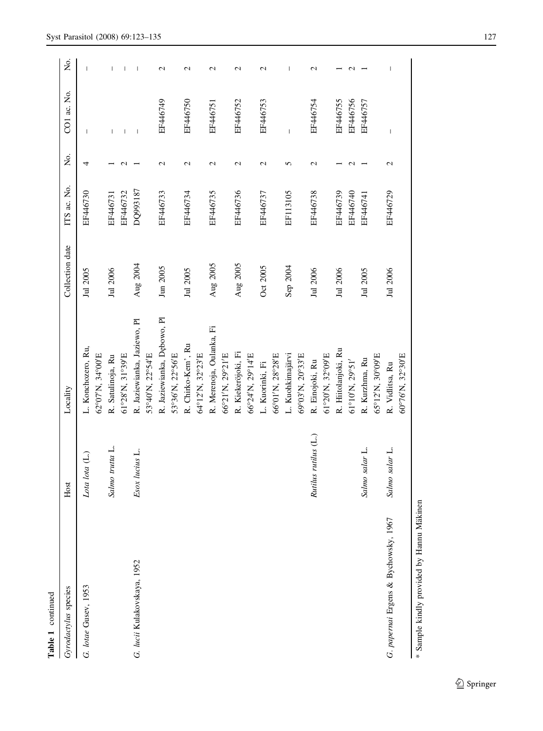| Gyrodactylus species                      | Host                 | Locality                                        | Collection date | ITS ac. No.          | Χo.             | CO1 ac. No.                    | Χo.              |
|-------------------------------------------|----------------------|-------------------------------------------------|-----------------|----------------------|-----------------|--------------------------------|------------------|
| G. lotae Gusev, 1953                      | Lota lota (L.)       | L. Konchozero, Ru,<br>62°07'N, 34°00'E          | Jul 2005        | EF446730             | 4               | $\mathbf{I}$                   |                  |
|                                           | Salmo trutta L.      | 61°28'N, 31°39'E<br>R. Satulinoja, Ru           | Jul 2006        | EF446732<br>EF446731 |                 | $\mathbf{I}$<br>$\overline{1}$ |                  |
| G. lucii Kulakovskaya, 1952               | Esox lucius L.       | R. Jaziewianka, Jaziewo, Pl<br>53°40'N, 22°54'E | Aug 2004        | DQ993187             |                 | $\overline{\phantom{a}}$       |                  |
|                                           |                      | R. Jaziewianka, Dębowo, Pl<br>53°36'N, 22°56'E  | Jun 2005        | EF446733             | $\mathbf{\sim}$ | EF446749                       | $\mathbf{\sim}$  |
|                                           |                      | R. Chirko-Kem', Ru<br>64°12'N, 32°23'E          | Jul 2005        | EF446734             | N               | EF446750                       | N                |
|                                           |                      | R. Merenoja, Oulanka, Fi<br>66°21'N, 29°21'E    | Aug 2005        | EF446735             | $\mathcal{L}$   | EF446751                       | $\mathbf{\sim}$  |
|                                           |                      | R. Kiekeröjoki, Fi<br>66°24'N, 29°14'E          | Aug 2005        | EF446736             | $\mathcal{L}$   | EF446752                       | $\mathrel{\sim}$ |
|                                           |                      | 66°01'N, 28°28'E<br>L. Kuorinki, Fi             | Oct 2005        | EF446737             | N               | EF446753                       | N                |
|                                           |                      | L. Kuohkimajärvi<br>69°03'N, 20°33'E            | Sep 2004        | EF113105             | 5               | $\overline{1}$                 |                  |
|                                           | Rutilus rutilus (L.) | 61°20'N, 32°09'E<br>R. Einojoki, Ru             | Jul 2006        | EF446738             | $\mathbf{\sim}$ | EF446754                       | N                |
|                                           |                      | R. Hiitolanjoki, Ru<br>61°10'N, 29°51'          | Jul 2006        | EF446739<br>EF446740 |                 | EF446756<br>EF446755           | C                |
|                                           | Salmo salar L.       | 65°12'N, 30°09'E<br>R. Kurzhma, Ru              | Jul 2005        | EF446741             |                 | EF446757                       |                  |
| G. papernai Ergens & Bychowsky, 1967      | Salmo salar L.       | 60°76'N, 32°30'E<br>R. Vidlitsa, Ru             | Jul 2006        | EF446729             | $\mathbf 2$     | $\overline{\phantom{a}}$       |                  |
| * Sample kindly provided by Hannu Mäkinen |                      |                                                 |                 |                      |                 |                                |                  |

Table 1 continued Table continued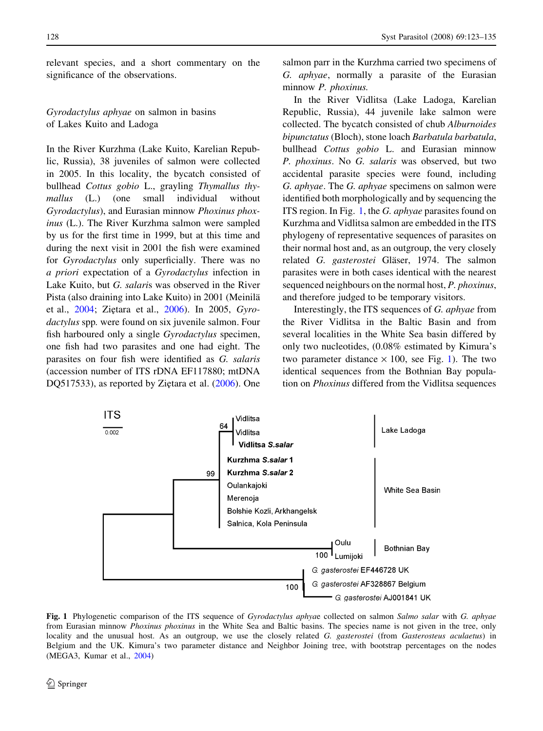<span id="page-5-0"></span>relevant species, and a short commentary on the significance of the observations.

Gyrodactylus aphyae on salmon in basins of Lakes Kuito and Ladoga

In the River Kurzhma (Lake Kuito, Karelian Republic, Russia), 38 juveniles of salmon were collected in 2005. In this locality, the bycatch consisted of bullhead Cottus gobio L., grayling Thymallus thymallus (L.) (one small individual without Gyrodactylus), and Eurasian minnow Phoxinus phoxinus (L.). The River Kurzhma salmon were sampled by us for the first time in 1999, but at this time and during the next visit in 2001 the fish were examined for Gyrodactylus only superficially. There was no a priori expectation of a Gyrodactylus infection in Lake Kuito, but G. salaris was observed in the River Pista (also draining into Lake Kuito) in 2001 (Meinila¨ et al., [2004](#page-11-0); Ziętara et al., [2006](#page-12-0)). In 2005, Gyrodactylus spp. were found on six juvenile salmon. Four fish harboured only a single Gyrodactylus specimen, one fish had two parasites and one had eight. The parasites on four fish were identified as G. salaris (accession number of ITS rDNA EF117880; mtDNA DQ517533), as reported by Ziętara et al. [\(2006](#page-12-0)). One salmon parr in the Kurzhma carried two specimens of G. aphyae, normally a parasite of the Eurasian minnow *P. phoxinus*.

In the River Vidlitsa (Lake Ladoga, Karelian Republic, Russia), 44 juvenile lake salmon were collected. The bycatch consisted of chub Alburnoides bipunctatus (Bloch), stone loach Barbatula barbatula, bullhead Cottus gobio L. and Eurasian minnow P. phoxinus. No G. salaris was observed, but two accidental parasite species were found, including G. aphyae. The G. aphyae specimens on salmon were identified both morphologically and by sequencing the ITS region. In Fig. 1, the G. aphyae parasites found on Kurzhma and Vidlitsa salmon are embedded in the ITS phylogeny of representative sequences of parasites on their normal host and, as an outgroup, the very closely related G. gasterostei Gläser, 1974. The salmon parasites were in both cases identical with the nearest sequenced neighbours on the normal host, P. phoxinus, and therefore judged to be temporary visitors.

Interestingly, the ITS sequences of G. aphyae from the River Vidlitsa in the Baltic Basin and from several localities in the White Sea basin differed by only two nucleotides, (0.08% estimated by Kimura's two parameter distance  $\times$  100, see Fig. 1). The two identical sequences from the Bothnian Bay population on Phoxinus differed from the Vidlitsa sequences



Fig. 1 Phylogenetic comparison of the ITS sequence of *Gyrodactylus aphyae* collected on salmon Salmo salar with G. aphyae from Eurasian minnow *Phoxinus phoxinus* in the White Sea and Baltic basins. The species name is not given in the tree, only locality and the unusual host. As an outgroup, we use the closely related G. gasterostei (from Gasterosteus aculaetus) in Belgium and the UK. Kimura's two parameter distance and Neighbor Joining tree, with bootstrap percentages on the nodes (MEGA3, Kumar et al., [2004](#page-11-0))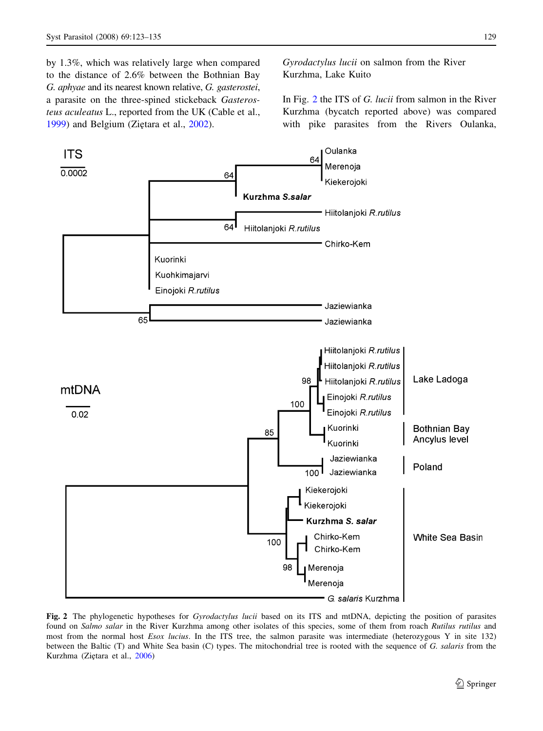<span id="page-6-0"></span>by 1.3%, which was relatively large when compared to the distance of 2.6% between the Bothnian Bay G. aphyae and its nearest known relative, G. gasterostei, a parasite on the three-spined stickeback Gasterosteus aculeatus L., reported from the UK (Cable et al., [1999\)](#page-11-0) and Belgium (Zietara et al., [2002](#page-11-0)).

Gyrodactylus lucii on salmon from the River Kurzhma, Lake Kuito

In Fig. 2 the ITS of G. lucii from salmon in the River Kurzhma (bycatch reported above) was compared with pike parasites from the Rivers Oulanka,



Fig. 2 The phylogenetic hypotheses for *Gyrodactylus lucii* based on its ITS and mtDNA, depicting the position of parasites found on Salmo salar in the River Kurzhma among other isolates of this species, some of them from roach Rutilus rutilus and most from the normal host *Esox lucius*. In the ITS tree, the salmon parasite was intermediate (heterozygous Y in site 132) between the Baltic (T) and White Sea basin (C) types. The mitochondrial tree is rooted with the sequence of G. salaris from the Kurzhma (Zietara et al., [2006](#page-12-0))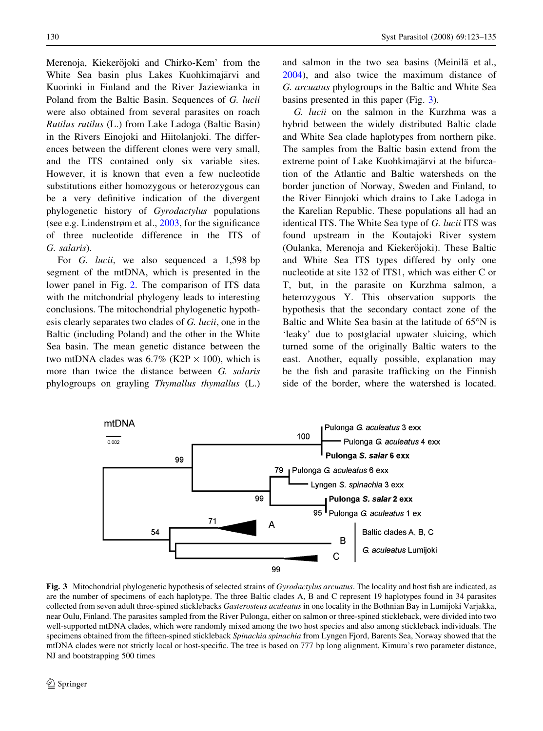<span id="page-7-0"></span>Merenoja, Kiekeröjoki and Chirko-Kem' from the White Sea basin plus Lakes Kuohkimajärvi and Kuorinki in Finland and the River Jaziewianka in Poland from the Baltic Basin. Sequences of G. lucii were also obtained from several parasites on roach Rutilus rutilus (L.) from Lake Ladoga (Baltic Basin) in the Rivers Einojoki and Hiitolanjoki. The differences between the different clones were very small, and the ITS contained only six variable sites. However, it is known that even a few nucleotide substitutions either homozygous or heterozygous can be a very definitive indication of the divergent phylogenetic history of Gyrodactylus populations (see e.g. Lindenstrøm et al., [2003,](#page-11-0) for the significance of three nucleotide difference in the ITS of G. salaris).

For G. lucii, we also sequenced a 1,598 bp segment of the mtDNA, which is presented in the lower panel in Fig. [2](#page-6-0). The comparison of ITS data with the mitchondrial phylogeny leads to interesting conclusions. The mitochondrial phylogenetic hypothesis clearly separates two clades of G. lucii, one in the Baltic (including Poland) and the other in the White Sea basin. The mean genetic distance between the two mtDNA clades was  $6.7\%$  (K2P  $\times$  100), which is more than twice the distance between G. salaris phylogroups on grayling Thymallus thymallus (L.) and salmon in the two sea basins (Meinilä et al., [2004\)](#page-11-0), and also twice the maximum distance of G. arcuatus phylogroups in the Baltic and White Sea basins presented in this paper (Fig. 3).

G. lucii on the salmon in the Kurzhma was a hybrid between the widely distributed Baltic clade and White Sea clade haplotypes from northern pike. The samples from the Baltic basin extend from the extreme point of Lake Kuohkimajärvi at the bifurcation of the Atlantic and Baltic watersheds on the border junction of Norway, Sweden and Finland, to the River Einojoki which drains to Lake Ladoga in the Karelian Republic. These populations all had an identical ITS. The White Sea type of G. lucii ITS was found upstream in the Koutajoki River system (Oulanka, Merenoja and Kiekeröjoki). These Baltic and White Sea ITS types differed by only one nucleotide at site 132 of ITS1, which was either C or T, but, in the parasite on Kurzhma salmon, a heterozygous Y. This observation supports the hypothesis that the secondary contact zone of the Baltic and White Sea basin at the latitude of  $65^{\circ}$ N is 'leaky' due to postglacial upwater sluicing, which turned some of the originally Baltic waters to the east. Another, equally possible, explanation may be the fish and parasite trafficking on the Finnish side of the border, where the watershed is located.



Fig. 3 Mitochondrial phylogenetic hypothesis of selected strains of Gyrodactylus arcuatus. The locality and host fish are indicated, as are the number of specimens of each haplotype. The three Baltic clades A, B and C represent 19 haplotypes found in 34 parasites collected from seven adult three-spined sticklebacks Gasterosteus aculeatus in one locality in the Bothnian Bay in Lumijoki Varjakka, near Oulu, Finland. The parasites sampled from the River Pulonga, either on salmon or three-spined stickleback, were divided into two well-supported mtDNA clades, which were randomly mixed among the two host species and also among stickleback individuals. The specimens obtained from the fifteen-spined stickleback Spinachia spinachia from Lyngen Fjord, Barents Sea, Norway showed that the mtDNA clades were not strictly local or host-specific. The tree is based on 777 bp long alignment, Kimura's two parameter distance, NJ and bootstrapping 500 times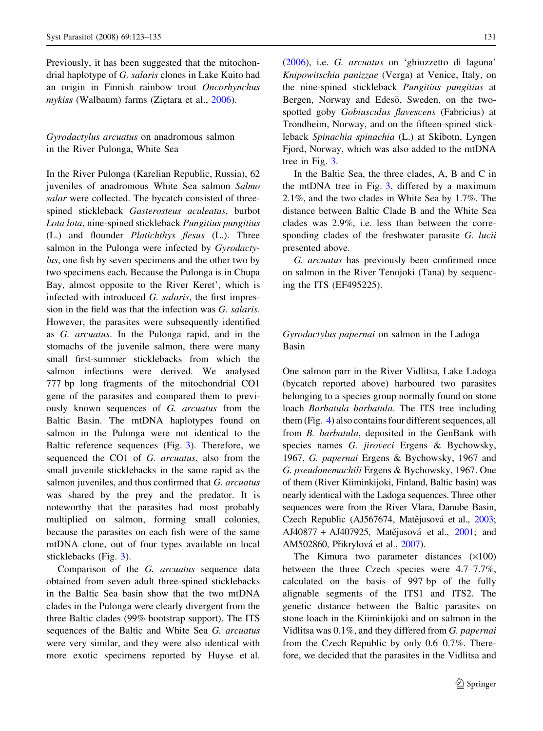Previously, it has been suggested that the mitochondrial haplotype of G. salaris clones in Lake Kuito had an origin in Finnish rainbow trout Oncorhynchus mykiss (Walbaum) farms (Ziętara et al., [2006](#page-12-0)).

Gyrodactylus arcuatus on anadromous salmon in the River Pulonga, White Sea

In the River Pulonga (Karelian Republic, Russia), 62 juveniles of anadromous White Sea salmon Salmo salar were collected. The bycatch consisted of threespined stickleback Gasterosteus aculeatus, burbot Lota lota, nine-spined stickleback Pungitius pungitius (L.) and flounder Platichthys flesus (L.). Three salmon in the Pulonga were infected by Gyrodactylus, one fish by seven specimens and the other two by two specimens each. Because the Pulonga is in Chupa Bay, almost opposite to the River Keret', which is infected with introduced G. salaris, the first impression in the field was that the infection was G. salaris. However, the parasites were subsequently identified as G. arcuatus. In the Pulonga rapid, and in the stomachs of the juvenile salmon, there were many small first-summer sticklebacks from which the salmon infections were derived. We analysed 777 bp long fragments of the mitochondrial CO1 gene of the parasites and compared them to previously known sequences of G. arcuatus from the Baltic Basin. The mtDNA haplotypes found on salmon in the Pulonga were not identical to the Baltic reference sequences (Fig. [3](#page-7-0)). Therefore, we sequenced the CO1 of G. arcuatus, also from the small juvenile sticklebacks in the same rapid as the salmon juveniles, and thus confirmed that G. arcuatus was shared by the prey and the predator. It is noteworthy that the parasites had most probably multiplied on salmon, forming small colonies, because the parasites on each fish were of the same mtDNA clone, out of four types available on local sticklebacks (Fig. [3\)](#page-7-0).

Comparison of the G. arcuatus sequence data obtained from seven adult three-spined sticklebacks in the Baltic Sea basin show that the two mtDNA clades in the Pulonga were clearly divergent from the three Baltic clades (99% bootstrap support). The ITS sequences of the Baltic and White Sea G. arcuatus were very similar, and they were also identical with more exotic specimens reported by Huyse et al. [\(2006](#page-11-0)), i.e. G. arcuatus on 'ghiozzetto di laguna' Knipowitschia panizzae (Verga) at Venice, Italy, on the nine-spined stickleback Pungitius pungitius at Bergen, Norway and Edesö, Sweden, on the twospotted goby Gobiusculus flavescens (Fabricius) at Trondheim, Norway, and on the fifteen-spined stickleback Spinachia spinachia (L.) at Skibotn, Lyngen Fjord, Norway, which was also added to the mtDNA tree in Fig. [3.](#page-7-0)

In the Baltic Sea, the three clades, A, B and C in the mtDNA tree in Fig. [3,](#page-7-0) differed by a maximum 2.1%, and the two clades in White Sea by 1.7%. The distance between Baltic Clade B and the White Sea clades was 2.9%, i.e. less than between the corresponding clades of the freshwater parasite G. lucii presented above.

G. arcuatus has previously been confirmed once on salmon in the River Tenojoki (Tana) by sequencing the ITS (EF495225).

# Gyrodactylus papernai on salmon in the Ladoga Basin

One salmon parr in the River Vidlitsa, Lake Ladoga (bycatch reported above) harboured two parasites belonging to a species group normally found on stone loach Barbatula barbatula. The ITS tree including them (Fig. [4\)](#page-9-0) also contains four different sequences, all from B. barbatula, deposited in the GenBank with species names G. *jiroveci* Ergens & Bychowsky, 1967, G. papernai Ergens & Bychowsky, 1967 and G. pseudonemachili Ergens & Bychowsky, 1967. One of them (River Kiiminkijoki, Finland, Baltic basin) was nearly identical with the Ladoga sequences. Three other sequences were from the River Vlara, Danube Basin, Czech Republic (AJ567674, Matějusová et al., [2003](#page-11-0); AJ40877 + AJ407925, Matějusová et al., [2001;](#page-11-0) and AM502860, Přikrylová et al., [2007](#page-11-0)).

The Kimura two parameter distances  $(\times 100)$ between the three Czech species were 4.7–7.7%, calculated on the basis of 997 bp of the fully alignable segments of the ITS1 and ITS2. The genetic distance between the Baltic parasites on stone loach in the Kiiminkijoki and on salmon in the Vidlitsa was 0.1%, and they differed from G. papernai from the Czech Republic by only 0.6–0.7%. Therefore, we decided that the parasites in the Vidlitsa and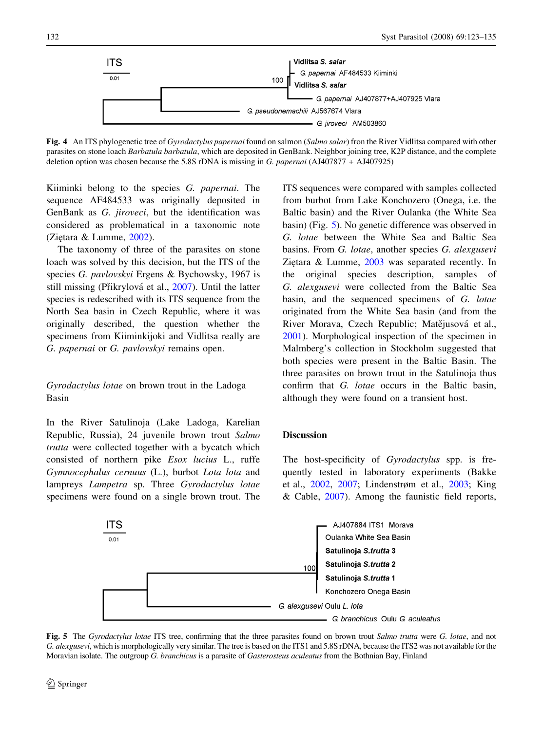<span id="page-9-0"></span>

Fig. 4 An ITS phylogenetic tree of Gyrodactylus papernai found on salmon (Salmo salar) fron the River Vidlitsa compared with other parasites on stone loach Barbatula barbatula, which are deposited in GenBank. Neighbor joining tree, K2P distance, and the complete deletion option was chosen because the 5.8S rDNA is missing in G. papernai (AJ407877 + AJ407925)

Kiiminki belong to the species G. papernai. The sequence AF484533 was originally deposited in GenBank as G. jiroveci, but the identification was considered as problematical in a taxonomic note (Ziętara & Lumme, [2002](#page-11-0)).

The taxonomy of three of the parasites on stone loach was solved by this decision, but the ITS of the species *G. pavlovskyi* Ergens & Bychowsky, 1967 is still missing (Přikrylová et al., [2007\)](#page-11-0). Until the latter species is redescribed with its ITS sequence from the North Sea basin in Czech Republic, where it was originally described, the question whether the specimens from Kiiminkijoki and Vidlitsa really are G. papernai or G. pavlovskyi remains open.

Gyrodactylus lotae on brown trout in the Ladoga Basin

In the River Satulinoja (Lake Ladoga, Karelian Republic, Russia), 24 juvenile brown trout Salmo trutta were collected together with a bycatch which consisted of northern pike Esox lucius L., ruffe Gymnocephalus cernuus (L.), burbot Lota lota and lampreys Lampetra sp. Three Gyrodactylus lotae specimens were found on a single brown trout. The ITS sequences were compared with samples collected from burbot from Lake Konchozero (Onega, i.e. the Baltic basin) and the River Oulanka (the White Sea basin) (Fig. 5). No genetic difference was observed in G. lotae between the White Sea and Baltic Sea basins. From G. lotae, another species G. alexgusevi Ziętara  $&$  Lumme,  $2003$  was separated recently. In the original species description, samples of G. alexgusevi were collected from the Baltic Sea basin, and the sequenced specimens of G. lotae originated from the White Sea basin (and from the River Morava, Czech Republic; Matějusová et al., [2001\)](#page-11-0). Morphological inspection of the specimen in Malmberg's collection in Stockholm suggested that both species were present in the Baltic Basin. The three parasites on brown trout in the Satulinoja thus confirm that G. lotae occurs in the Baltic basin, although they were found on a transient host.

### Discussion

The host-specificity of *Gyrodactylus* spp. is frequently tested in laboratory experiments (Bakke et al., [2002,](#page-11-0) [2007](#page-11-0); Lindenstrøm et al., [2003](#page-11-0); King  $& Cable, 2007$  $& Cable, 2007$ . Among the faunistic field reports,



Fig. 5 The Gyrodactylus lotae ITS tree, confirming that the three parasites found on brown trout Salmo trutta were G. lotae, and not G. alexgusevi, which is morphologically very similar. The tree is based on the ITS1 and 5.8S rDNA, because the ITS2 was not available for the Moravian isolate. The outgroup G. branchicus is a parasite of Gasterosteus aculeatus from the Bothnian Bay, Finland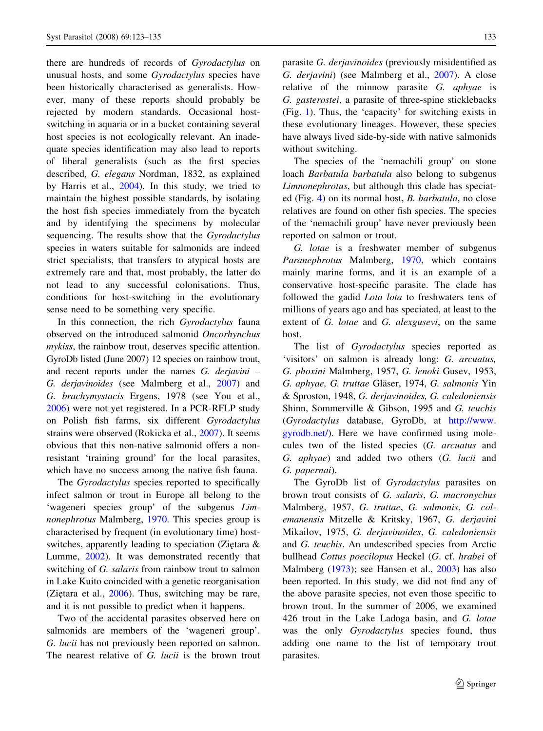there are hundreds of records of Gyrodactylus on unusual hosts, and some Gyrodactylus species have been historically characterised as generalists. However, many of these reports should probably be rejected by modern standards. Occasional hostswitching in aquaria or in a bucket containing several host species is not ecologically relevant. An inadequate species identification may also lead to reports of liberal generalists (such as the first species described, G. elegans Nordman, 1832, as explained by Harris et al., [2004](#page-11-0)). In this study, we tried to maintain the highest possible standards, by isolating the host fish species immediately from the bycatch and by identifying the specimens by molecular sequencing. The results show that the *Gyrodactylus* species in waters suitable for salmonids are indeed strict specialists, that transfers to atypical hosts are extremely rare and that, most probably, the latter do not lead to any successful colonisations. Thus, conditions for host-switching in the evolutionary sense need to be something very specific.

In this connection, the rich Gyrodactylus fauna observed on the introduced salmonid Oncorhynchus mykiss, the rainbow trout, deserves specific attention. GyroDb listed (June 2007) 12 species on rainbow trout, and recent reports under the names G. derjavini – G. derjavinoides (see Malmberg et al., [2007](#page-11-0)) and G. brachymystacis Ergens, 1978 (see You et al., [2006\)](#page-11-0) were not yet registered. In a PCR-RFLP study on Polish fish farms, six different Gyrodactylus strains were observed (Rokicka et al., [2007\)](#page-11-0). It seems obvious that this non-native salmonid offers a nonresistant 'training ground' for the local parasites, which have no success among the native fish fauna.

The Gyrodactylus species reported to specifically infect salmon or trout in Europe all belong to the 'wageneri species group' of the subgenus Limnonephrotus Malmberg, [1970](#page-11-0). This species group is characterised by frequent (in evolutionary time) hostswitches, apparently leading to speciation (Zietara  $\&$ Lumme, [2002\)](#page-11-0). It was demonstrated recently that switching of G. salaris from rainbow trout to salmon in Lake Kuito coincided with a genetic reorganisation (Ziętara et al.,  $2006$ ). Thus, switching may be rare, and it is not possible to predict when it happens.

Two of the accidental parasites observed here on salmonids are members of the 'wageneri group'. G. lucii has not previously been reported on salmon. The nearest relative of G. *lucii* is the brown trout

parasite G. derjavinoides (previously misidentified as G. derjavini) (see Malmberg et al., [2007\)](#page-11-0). A close relative of the minnow parasite G. aphyae is G. gasterostei, a parasite of three-spine sticklebacks (Fig. [1](#page-5-0)). Thus, the 'capacity' for switching exists in these evolutionary lineages. However, these species have always lived side-by-side with native salmonids without switching.

The species of the 'nemachili group' on stone loach Barbatula barbatula also belong to subgenus Limnonephrotus, but although this clade has speciated (Fig. [4\)](#page-9-0) on its normal host, B. barbatula, no close relatives are found on other fish species. The species of the 'nemachili group' have never previously been reported on salmon or trout.

G. lotae is a freshwater member of subgenus Paranephrotus Malmberg, [1970](#page-11-0), which contains mainly marine forms, and it is an example of a conservative host-specific parasite. The clade has followed the gadid Lota lota to freshwaters tens of millions of years ago and has speciated, at least to the extent of G. *lotae* and G. *alexgusevi*, on the same host.

The list of Gyrodactylus species reported as 'visitors' on salmon is already long: G. arcuatus, G. phoxini Malmberg, 1957, G. lenoki Gusev, 1953, G. aphyae, G. truttae Gläser, 1974, G. salmonis Yin & Sproston, 1948, G. derjavinoides, G. caledoniensis Shinn, Sommerville & Gibson, 1995 and G. teuchis (Gyrodactylus database, GyroDb, at [http://www.](http://www.gyrodb.net/) [gyrodb.net/\)](http://www.gyrodb.net/). Here we have confirmed using molecules two of the listed species (G. arcuatus and G. aphyae) and added two others (G. lucii and G. papernai).

The GyroDb list of Gyrodactylus parasites on brown trout consists of G. salaris, G. macronychus Malmberg, 1957, G. truttae, G. salmonis, G. colemanensis Mitzelle & Kritsky, 1967, G. derjavini Mikailov, 1975, G. derjavinoides, G. caledoniensis and G. teuchis. An undescribed species from Arctic bullhead Cottus poecilopus Heckel (G. cf. hrabei of Malmberg ([1973\)](#page-11-0); see Hansen et al., [2003](#page-11-0)) has also been reported. In this study, we did not find any of the above parasite species, not even those specific to brown trout. In the summer of 2006, we examined 426 trout in the Lake Ladoga basin, and G. lotae was the only Gyrodactylus species found, thus adding one name to the list of temporary trout parasites.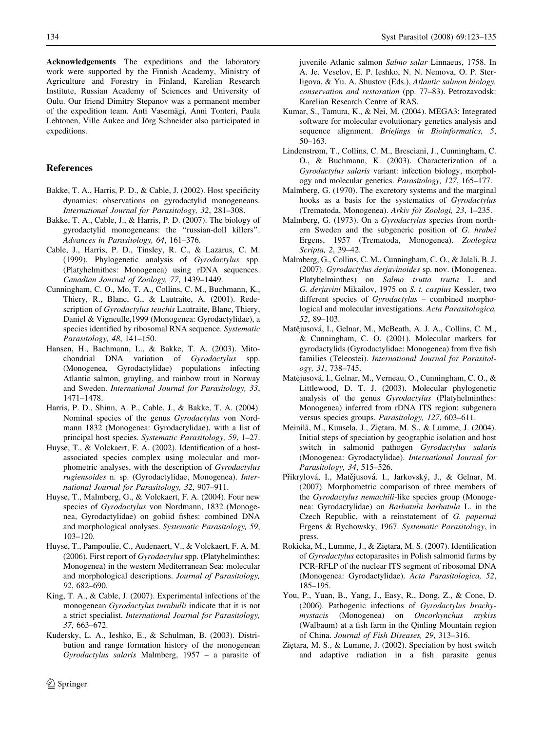<span id="page-11-0"></span>Acknowledgements The expeditions and the laboratory work were supported by the Finnish Academy, Ministry of Agriculture and Forestry in Finland, Karelian Research Institute, Russian Academy of Sciences and University of Oulu. Our friend Dimitry Stepanov was a permanent member of the expedition team. Anti Vasemägi, Anni Tonteri, Paula Lehtonen, Ville Aukee and Jörg Schneider also participated in expeditions.

## References

- Bakke, T. A., Harris, P. D., & Cable, J. (2002). Host specificity dynamics: observations on gyrodactylid monogeneans. International Journal for Parasitology, 32, 281–308.
- Bakke, T. A., Cable, J., & Harris, P. D. (2007). The biology of gyrodactylid monogeneans: the ''russian-doll killers''. Advances in Parasitology, 64, 161–376.
- Cable, J., Harris, P. D., Tinsley, R. C., & Lazarus, C. M. (1999). Phylogenetic analysis of Gyrodactylus spp. (Platyhelmithes: Monogenea) using rDNA sequences. Canadian Journal of Zoology, 77, 1439–1449.
- Cunningham, C. O., Mo, T. A., Collins, C. M., Buchmann, K., Thiery, R., Blanc, G., & Lautraite, A. (2001). Redescription of *Gyrodactylus teuchis* Lautraite, Blanc, Thiery, Daniel & Vigneulle,1999 (Monogenea: Gyrodactylidae), a species identified by ribosomal RNA sequence. Systematic Parasitology, 48, 141–150.
- Hansen, H., Bachmann, L., & Bakke, T. A. (2003). Mitochondrial DNA variation of Gyrodactylus spp. (Monogenea, Gyrodactylidae) populations infecting Atlantic salmon, grayling, and rainbow trout in Norway and Sweden. International Journal for Parasitology, 33, 1471–1478.
- Harris, P. D., Shinn, A. P., Cable, J., & Bakke, T. A. (2004). Nominal species of the genus Gyrodactylus von Nordmann 1832 (Monogenea: Gyrodactylidae), with a list of principal host species. Systematic Parasitology, 59, 1–27.
- Huyse, T., & Volckaert, F. A. (2002). Identification of a hostassociated species complex using molecular and morphometric analyses, with the description of Gyrodactylus rugiensoides n. sp. (Gyrodactylidae, Monogenea). International Journal for Parasitology, 32, 907–911.
- Huyse, T., Malmberg, G., & Volckaert, F. A. (2004). Four new species of Gyrodactylus von Nordmann, 1832 (Monogenea, Gyrodactylidae) on gobiid fishes: combined DNA and morphological analyses. Systematic Parasitology, 59, 103–120.
- Huyse, T., Pampoulie, C., Audenaert, V., & Volckaert, F. A. M. (2006). First report of Gyrodactylus spp. (Platyhelminthes: Monogenea) in the western Mediterranean Sea: molecular and morphological descriptions. Journal of Parasitology, 92, 682–690.
- King, T. A., & Cable, J. (2007). Experimental infections of the monogenean Gyrodactylus turnbulli indicate that it is not a strict specialist. International Journal for Parasitology, 37, 663–672.
- Kudersky, L. A., Ieshko, E., & Schulman, B. (2003). Distribution and range formation history of the monogenean Gyrodactylus salaris Malmberg, 1957 – a parasite of

juvenile Atlanic salmon Salmo salar Linnaeus, 1758. In A. Je. Veselov, E. P. Ieshko, N. N. Nemova, O. P. Sterligova, & Yu. A. Shustov (Eds.), Atlantic salmon biology, conservation and restoration (pp. 77–83). Petrozavodsk: Karelian Research Centre of RAS.

- Kumar, S., Tamura, K., & Nei, M. (2004). MEGA3: Integrated software for molecular evolutionary genetics analysis and sequence alignment. *Briefings in Bioinformatics*, 5, 50–163.
- Lindenstrøm, T., Collins, C. M., Bresciani, J., Cunningham, C. O., & Buchmann, K. (2003). Characterization of a Gyrodactylus salaris variant: infection biology, morphology and molecular genetics. Parasitology, 127, 165–177.
- Malmberg, G. (1970). The excretory systems and the marginal hooks as a basis for the systematics of Gyrodactylus (Trematoda, Monogenea). Arkiv för Zoologi, 23, 1-235.
- Malmberg, G. (1973). On a Gyrodactylus species from northern Sweden and the subgeneric position of G. hrabei Ergens, 1957 (Trematoda, Monogenea). Zoologica Scripta, 2, 39–42.
- Malmberg, G., Collins, C. M., Cunningham, C. O., & Jalali, B. J. (2007). Gyrodactylus derjavinoides sp. nov. (Monogenea. Platyhelminthes) on Salmo trutta trutta L. and G. derjavini Mikailov, 1975 on S. t. caspius Kessler, two different species of *Gyrodactylus* – combined morphological and molecular investigations. Acta Parasitologica, 52, 89–103.
- Matějusová, I., Gelnar, M., McBeath, A. J. A., Collins, C. M., & Cunningham, C. O. (2001). Molecular markers for gyrodactylids (Gyrodactylidae: Monogenea) from five fish families (Teleostei). International Journal for Parasitology, 31, 738–745.
- Matějusová, I., Gelnar, M., Verneau, O., Cunningham, C. O., & Littlewood, D. T. J. (2003). Molecular phylogenetic analysis of the genus Gyrodactylus (Platyhelminthes: Monogenea) inferred from rDNA ITS region: subgenera versus species groups. Parasitology, 127, 603–611.
- Meinilä, M., Kuusela, J., Zietara, M. S., & Lumme, J. (2004). Initial steps of speciation by geographic isolation and host switch in salmonid pathogen Gyrodactylus salaris (Monogenea: Gyrodactylidae). International Journal for Parasitology, 34, 515–526.
- Přikrylová, I., Matějusová. I., Jarkovský, J., & Gelnar, M. (2007). Morphometric comparison of three members of the Gyrodactylus nemachili-like species group (Monogenea: Gyrodactylidae) on Barbatula barbatula L. in the Czech Republic, with a reinstatement of G. papernai Ergens & Bychowsky, 1967. Systematic Parasitology, in press.
- Rokicka, M., Lumme, J., & Ziętara, M. S. (2007). Identification of Gyrodactylus ectoparasites in Polish salmonid farms by PCR-RFLP of the nuclear ITS segment of ribosomal DNA (Monogenea: Gyrodactylidae). Acta Parasitologica, 52, 185–195.
- You, P., Yuan, B., Yang, J., Easy, R., Dong, Z., & Cone, D. (2006). Pathogenic infections of Gyrodactylus brachymystacis (Monogenea) on Oncorhynchus mykiss (Walbaum) at a fish farm in the Qinling Mountain region of China. Journal of Fish Diseases, 29, 313–316.
- Ziętara, M. S., & Lumme, J. (2002). Speciation by host switch and adaptive radiation in a fish parasite genus